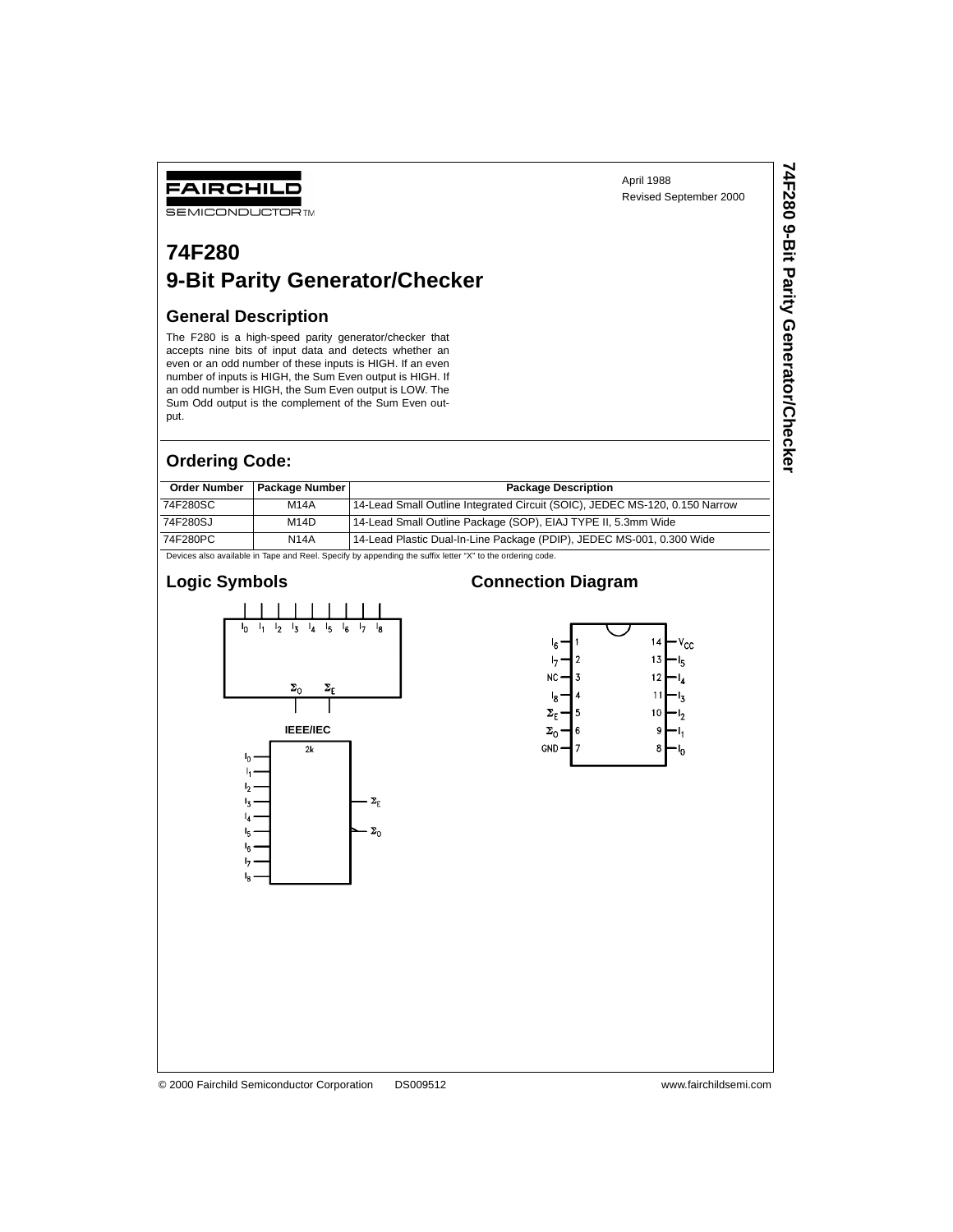**74F280 9-Bit Parity Generator/Checker**

74F280 9-Bit Parity Generator/Checker

# **SEMICONDUCTOR TM 74F280**

# **9-Bit Parity Generator/Checker**

## **General Description**

FAIRCHILD

The F280 is a high-speed parity generator/checker that accepts nine bits of input data and detects whether an even or an odd number of these inputs is HIGH. If an even number of inputs is HIGH, the Sum Even output is HIGH. If an odd number is HIGH, the Sum Even output is LOW. The Sum Odd output is the complement of the Sum Even output.

#### **Ordering Code:**

| <b>Order Number</b>                                                                                       | <b>Package Number I</b> | <b>Package Description</b>                                                  |  |  |  |  |  |  |
|-----------------------------------------------------------------------------------------------------------|-------------------------|-----------------------------------------------------------------------------|--|--|--|--|--|--|
| 74F280SC                                                                                                  | M14A                    | 14-Lead Small Outline Integrated Circuit (SOIC), JEDEC MS-120, 0.150 Narrow |  |  |  |  |  |  |
| 74F280SJ                                                                                                  | M14D                    | 14-Lead Small Outline Package (SOP), EIAJ TYPE II, 5.3mm Wide               |  |  |  |  |  |  |
| 14-Lead Plastic Dual-In-Line Package (PDIP), JEDEC MS-001, 0.300 Wide<br>74F280PC<br><b>N14A</b>          |                         |                                                                             |  |  |  |  |  |  |
| Devices also available in Tape and Reel. Specify by appending the suffix letter "X" to the ordering code. |                         |                                                                             |  |  |  |  |  |  |

#### **Logic Symbols**





#### © 2000 Fairchild Semiconductor Corporation DS009512 www.fairchildsemi.com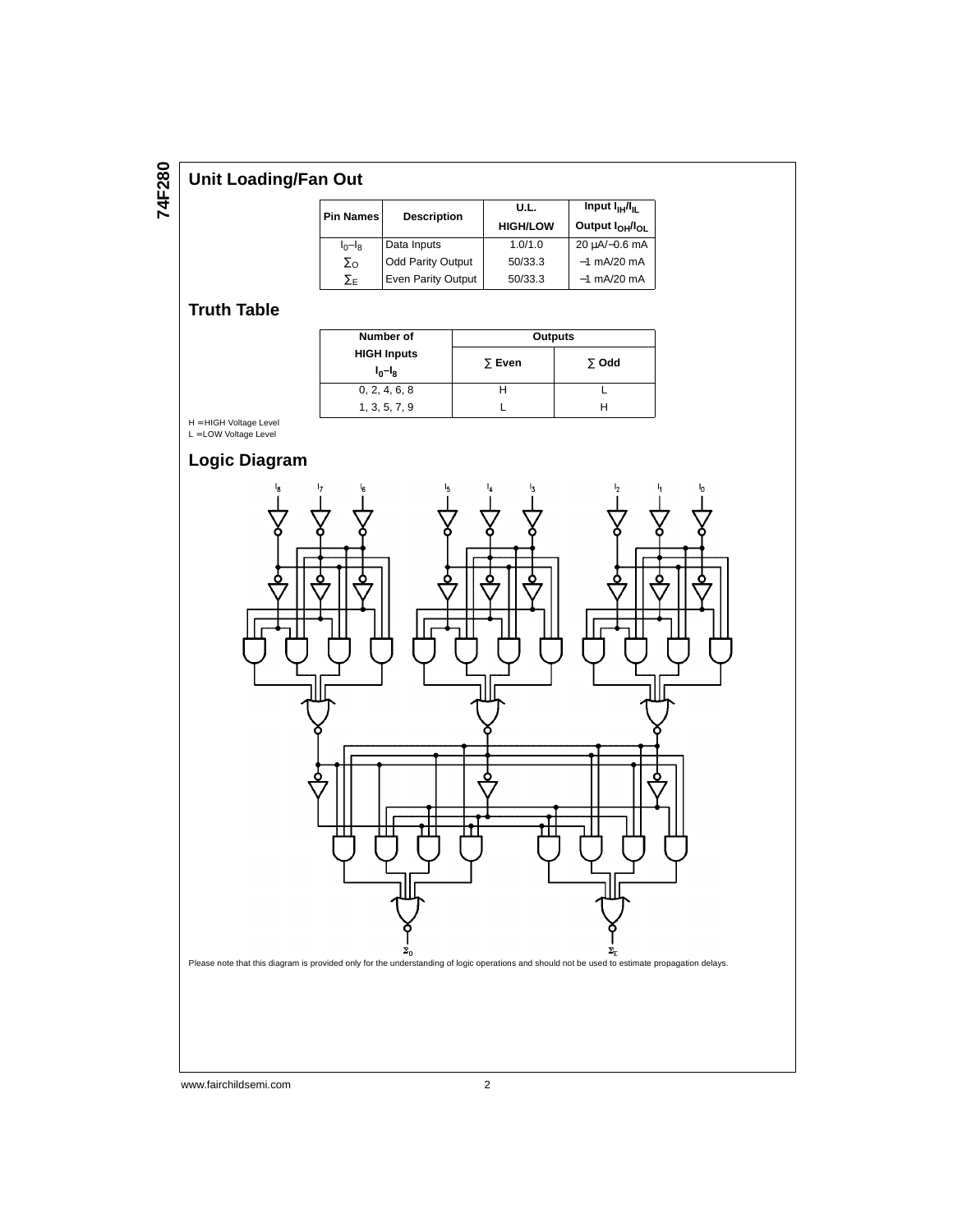# **74F280**

# **Unit Loading/Fan Out**

| <b>Pin Names</b> | <b>Description</b>       | U.L.<br><b>HIGH/LOW</b> |               |
|------------------|--------------------------|-------------------------|---------------|
| $I_0-I_8$        | Data Inputs              | 1.0/1.0                 | 20 μA/-0.6 mA |
| $\Sigma_{\rm O}$ | <b>Odd Parity Output</b> | 50/33.3                 | $-1$ mA/20 mA |
| ∑F               | Even Parity Output       | 50/33.3                 | $-1$ mA/20 mA |

# **Truth Table**

| Number of                       | Outputs       |              |  |  |  |  |
|---------------------------------|---------------|--------------|--|--|--|--|
| <b>HIGH Inputs</b><br>$I_0-I_8$ | $\Sigma$ Even | $\Sigma$ Odd |  |  |  |  |
| 0, 2, 4, 6, 8                   |               |              |  |  |  |  |
| 1, 3, 5, 7, 9                   |               |              |  |  |  |  |

H = HIGH Voltage Level L = LOW Voltage Level

# **Logic Diagram**



www.fairchildsemi.com 2